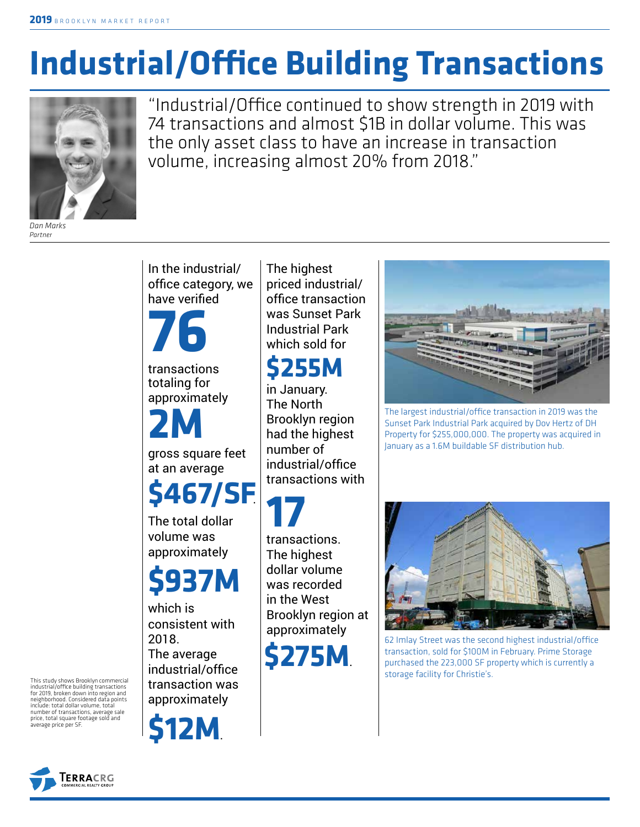# **Industrial/Office Building Transactions**



"Industrial/Office continued to show strength in 2019 with 74 transactions and almost \$1B in dollar volume. This was the only asset class to have an increase in transaction volume, increasing almost 20% from 2018."

*Dan Marks Partner*

> In the industrial/ office category, we have verified

transactions **76**

totaling for approximately

gross square feet **2M**

at an average **\$467/SF**.

The total dollar volume was approximately

## **\$937M**

which is consistent with 2018. The average industrial/office transaction was approximately

**\$12M**.

The highest priced industrial/ office transaction was Sunset Park Industrial Park which sold for

### **\$255M**

in January. The North Brooklyn region had the highest number of industrial/office transactions with

transactions. The highest dollar volume was recorded in the West Brooklyn region at approximately **17**

**\$275M**.



The largest industrial/office transaction in 2019 was the Sunset Park Industrial Park acquired by Dov Hertz of DH Property for \$255,000,000. The property was acquired in January as a 1.6M buildable SF distribution hub.



62 Imlay Street was the second highest industrial/office transaction, sold for \$100M in February. Prime Storage purchased the 223,000 SF property which is currently a storage facility for Christie's.

This study shows Brooklyn commercial industrial/office building transactions for 2019, broken down into region and neighborhood. Considered data points include: total dollar volume, total number of transactions, average sale price, total square footage sold and average price per SF.

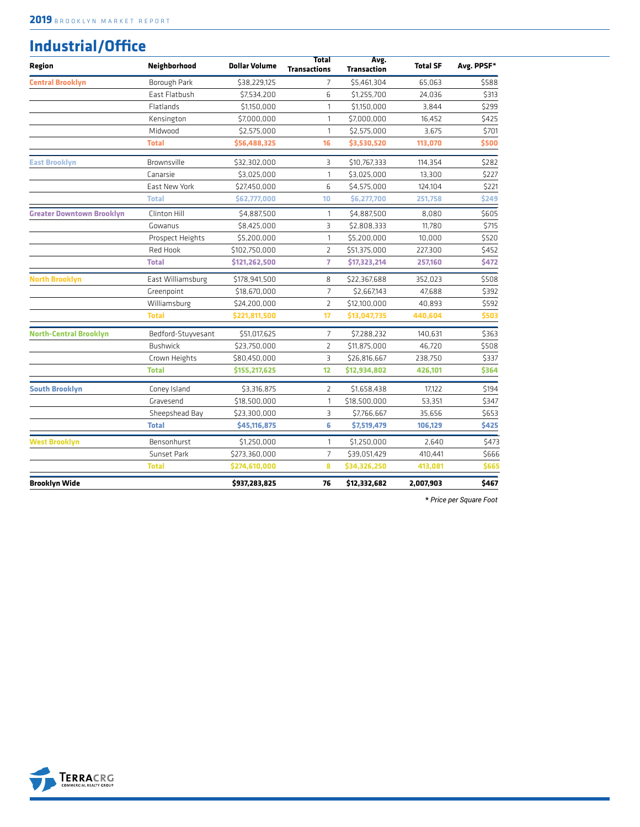#### **Industrial/Office**

| Region                           | Neighborhood       | <b>Dollar Volume</b> | <b>Total</b><br><b>Transactions</b> | Avg.<br><b>Transaction</b> | <b>Total SF</b> | Avg. PPSF* |
|----------------------------------|--------------------|----------------------|-------------------------------------|----------------------------|-----------------|------------|
| <b>Central Brooklyn</b>          | Borough Park       | \$38,229,125         | 7                                   | \$5,461,304                | 65,063          | \$588      |
|                                  | East Flatbush      | \$7,534,200          | 6                                   | \$1,255,700                | 24,036          | \$313      |
|                                  | Flatlands          | \$1,150,000          | $\mathbf{1}$                        | \$1,150,000                | 3,844           | \$299      |
|                                  | Kensington         | \$7,000,000          | $\mathbf{1}$                        | \$7,000,000                | 16,452          | \$425      |
|                                  | Midwood            | \$2,575,000          | $\mathbf{1}$                        | \$2,575,000                | 3,675           | \$701      |
|                                  | <b>Total</b>       | \$56,488,325         | 16                                  | \$3,530,520                | 113,070         | \$500      |
| <b>East Brooklyn</b>             | Brownsville        | \$32,302,000         | 3                                   | \$10,767,333               | 114,354         | \$282      |
|                                  | Canarsie           | \$3,025,000          | 1                                   | \$3,025,000                | 13,300          | \$227      |
|                                  | East New York      | \$27,450,000         | 6                                   | \$4,575,000                | 124,104         | \$221      |
|                                  | <b>Total</b>       | \$62,777,000         | 10                                  | \$6,277,700                | 251,758         | \$249      |
| <b>Greater Downtown Brooklyn</b> | Clinton Hill       | \$4,887,500          | 1                                   | \$4,887,500                | 8,080           | \$605      |
|                                  | Gowanus            | \$8,425,000          | 3                                   | \$2,808,333                | 11,780          | \$715      |
|                                  | Prospect Heights   | \$5,200,000          | 1                                   | \$5,200,000                | 10,000          | \$520      |
|                                  | Red Hook           | \$102,750,000        | $\overline{2}$                      | \$51,375,000               | 227,300         | \$452      |
|                                  | <b>Total</b>       | \$121,262,500        | $\overline{7}$                      | \$17,323,214               | 257,160         | \$472      |
| <b>North Brooklyn</b>            | East Williamsburg  | \$178,941,500        | 8                                   | \$22,367,688               | 352,023         | \$508      |
|                                  | Greenpoint         | \$18,670,000         | $\overline{7}$                      | \$2,667,143                | 47,688          | \$392      |
|                                  | Williamsburg       | \$24,200,000         | $\overline{2}$                      | \$12,100,000               | 40,893          | \$592      |
|                                  | <b>Total</b>       | \$221,811,500        | 17                                  | \$13,047,735               | 440,604         | \$503      |
| North-Central Brooklyn           | Bedford-Stuyvesant | \$51,017,625         | $\overline{7}$                      | \$7,288,232                | 140,631         | \$363      |
|                                  | <b>Bushwick</b>    | \$23,750,000         | $\overline{2}$                      | \$11,875,000               | 46,720          | \$508      |
|                                  | Crown Heights      | \$80,450,000         | $\overline{3}$                      | \$26,816,667               | 238,750         | \$337      |
|                                  | <b>Total</b>       | \$155,217,625        | 12                                  | \$12,934,802               | 426,101         | \$364      |
| <b>South Brooklyn</b>            | Coney Island       | \$3,316,875          | $\overline{2}$                      | \$1,658,438                | 17,122          | \$194      |
|                                  | Gravesend          | \$18,500,000         | 1                                   | \$18,500,000               | 53,351          | \$347      |
|                                  | Sheepshead Bay     | \$23,300,000         | 3                                   | \$7,766,667                | 35,656          | \$653      |
|                                  | <b>Total</b>       | \$45,116,875         | 6                                   | \$7,519,479                | 106,129         | \$425      |
| <b>West Brooklyn</b>             | Bensonhurst        | \$1,250,000          | 1                                   | \$1,250,000                | 2,640           | \$473      |
|                                  | Sunset Park        | \$273,360,000        | $\overline{7}$                      | \$39,051,429               | 410,441         | \$666      |
|                                  | <b>Total</b>       | \$274,610,000        | 8                                   | \$34,326,250               | 413,081         | \$665      |
| <b>Brooklyn Wide</b>             |                    | \$937,283,825        | 76                                  | \$12,332,682               | 2,007,903       | \$467      |

**\*** *Price per Square Foot*